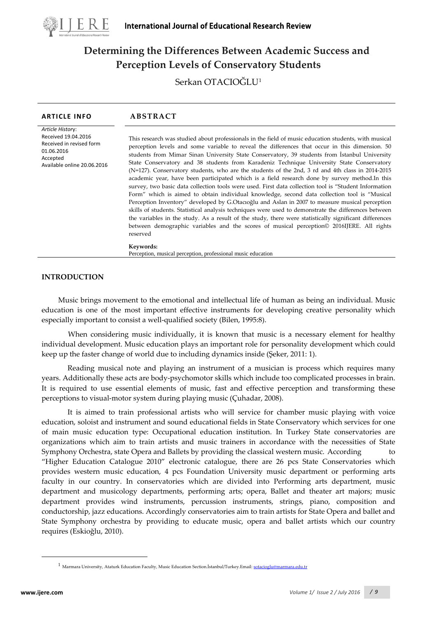

# **Determining the Differences Between Academic Success and Perception Levels of Conservatory Students**

Serkan OTACIOĞLU[1](#page-0-0)

| <b>ARTICLE INFO</b>                                                                                                          | ABSTRACT                                                                                                                                                                                                                                                                                                                                                                                                                                                                                                                                                                                                                                                                                                                                                                                                                                                                                                                                                                                                                                                                                                                                                                                                                                         |
|------------------------------------------------------------------------------------------------------------------------------|--------------------------------------------------------------------------------------------------------------------------------------------------------------------------------------------------------------------------------------------------------------------------------------------------------------------------------------------------------------------------------------------------------------------------------------------------------------------------------------------------------------------------------------------------------------------------------------------------------------------------------------------------------------------------------------------------------------------------------------------------------------------------------------------------------------------------------------------------------------------------------------------------------------------------------------------------------------------------------------------------------------------------------------------------------------------------------------------------------------------------------------------------------------------------------------------------------------------------------------------------|
| Article History:<br>Received 19.04.2016<br>Received in revised form<br>01.06.2016<br>Accepted<br>Available online 20.06.2016 | This research was studied about professionals in the field of music education students, with musical<br>perception levels and some variable to reveal the differences that occur in this dimension. 50<br>students from Mimar Sinan University State Conservatory, 39 students from Istanbul University<br>State Conservatory and 38 students from Karadeniz Technique University State Conservatory<br>(N=127). Conservatory students, who are the students of the 2nd, 3 rd and 4th class in 2014-2015<br>academic year, have been participated which is a field research done by survey method. In this<br>survey, two basic data collection tools were used. First data collection tool is "Student Information<br>Form" which is aimed to obtain individual knowledge, second data collection tool is "Musical<br>Perception Inventory" developed by G.Otacioglu and Aslan in 2007 to measure musical perception<br>skills of students. Statistical analysis techniques were used to demonstrate the differences between<br>the variables in the study. As a result of the study, there were statistically significant differences<br>between demographic variables and the scores of musical perception© 2016IJERE. All rights<br>reserved |
|                                                                                                                              | Keywords:<br>Perception, musical perception, professional music education                                                                                                                                                                                                                                                                                                                                                                                                                                                                                                                                                                                                                                                                                                                                                                                                                                                                                                                                                                                                                                                                                                                                                                        |
|                                                                                                                              |                                                                                                                                                                                                                                                                                                                                                                                                                                                                                                                                                                                                                                                                                                                                                                                                                                                                                                                                                                                                                                                                                                                                                                                                                                                  |

# **INTRODUCTION**

Music brings movement to the emotional and intellectual life of human as being an individual. Music education is one of the most important effective instruments for developing creative personality which especially important to consist a well-qualified society (Bilen, 1995:8).

When considering music individually, it is known that music is a necessary element for healthy individual development. Music education plays an important role for personality development which could keep up the faster change of world due to including dynamics inside (Şeker, 2011: 1).

Reading musical note and playing an instrument of a musician is process which requires many years. Additionally these acts are body-psychomotor skills which include too complicated processes in brain. It is required to use essential elements of music, fast and effective perception and transforming these perceptions to visual-motor system during playing music (Çuhadar, 2008).

It is aimed to train professional artists who will service for chamber music playing with voice education, soloist and instrument and sound educational fields in State Conservatory which services for one of main music education type: Occupational education institution. In Turkey State conservatories are organizations which aim to train artists and music trainers in accordance with the necessities of State Symphony Orchestra, state Opera and Ballets by providing the classical western music. According to "Higher Education Catalogue 2010" electronic catalogue, there are 26 pcs State Conservatories which provides western music education, 4 pcs Foundation University music department or performing arts faculty in our country. In conservatories which are divided into Performing arts department, music department and musicology departments, performing arts; opera, Ballet and theater art majors; music department provides wind instruments, percussion instruments, strings, piano, composition and conductorship, jazz educations. Accordingly conservatories aim to train artists for State Opera and ballet and State Symphony orchestra by providing to educate music, opera and ballet artists which our country requires (Eskioğlu, 2010).

<span id="page-0-1"></span><span id="page-0-0"></span> $\overline{a}$ 

<sup>1</sup> Marmara University, Ataturk Education Faculty, Music Education Section.İstanbul/Turkey.Email: [sotacioglu@marmara.edu.tr](mailto:sotacioglu@marmara.edu.tr)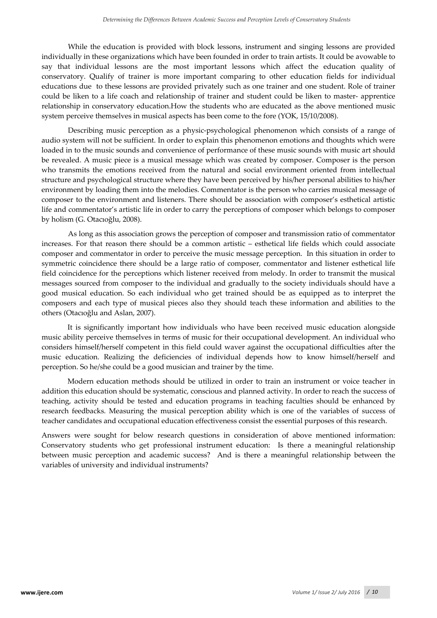While the education is provided with block lessons, instrument and singing lessons are provided individually in these organizations which have been founded in order to train artists. It could be avowable to say that individual lessons are the most important lessons which affect the education quality of conservatory. Qualify of trainer is more important comparing to other education fields for individual educations due to these lessons are provided privately such as one trainer and one student. Role of trainer could be liken to a life coach and relationship of trainer and student could be liken to master- apprentice relationship in conservatory education.How the students who are educated as the above mentioned music system perceive themselves in musical aspects has been come to the fore (YOK, 15/10/2008).

Describing music perception as a physic-psychological phenomenon which consists of a range of audio system will not be sufficient. In order to explain this phenomenon emotions and thoughts which were loaded in to the music sounds and convenience of performance of these music sounds with music art should be revealed. A music piece is a musical message which was created by composer. Composer is the person who transmits the emotions received from the natural and social environment oriented from intellectual structure and psychological structure where they have been perceived by his/her personal abilities to his/her environment by loading them into the melodies. Commentator is the person who carries musical message of composer to the environment and listeners. There should be association with composer's esthetical artistic life and commentator's artistic life in order to carry the perceptions of composer which belongs to composer by holism (G. Otacıoğlu, 2008).

As long as this association grows the perception of composer and transmission ratio of commentator increases. For that reason there should be a common artistic – esthetical life fields which could associate composer and commentator in order to perceive the music message perception. In this situation in order to symmetric coincidence there should be a large ratio of composer, commentator and listener esthetical life field coincidence for the perceptions which listener received from melody. In order to transmit the musical messages sourced from composer to the individual and gradually to the society individuals should have a good musical education. So each individual who get trained should be as equipped as to interpret the composers and each type of musical pieces also they should teach these information and abilities to the others (Otacıoğlu and Aslan, 2007).

It is significantly important how individuals who have been received music education alongside music ability perceive themselves in terms of music for their occupational development. An individual who considers himself/herself competent in this field could waver against the occupational difficulties after the music education. Realizing the deficiencies of individual depends how to know himself/herself and perception. So he/she could be a good musician and trainer by the time.

Modern education methods should be utilized in order to train an instrument or voice teacher in addition this education should be systematic, conscious and planned activity. In order to reach the success of teaching, activity should be tested and education programs in teaching faculties should be enhanced by research feedbacks. Measuring the musical perception ability which is one of the variables of success of teacher candidates and occupational education effectiveness consist the essential purposes of this research.

Answers were sought for below research questions in consideration of above mentioned information: Conservatory students who get professional instrument education: Is there a meaningful relationship between music perception and academic success? And is there a meaningful relationship between the variables of university and individual instruments?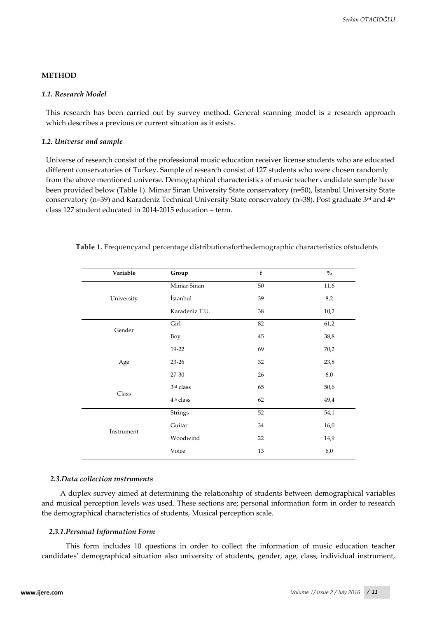### **METHOD**

## *1.1. Research Model*

This research has been carried out by survey method. General scanning model is a research approach which describes a previous or current situation as it exists.

#### *1.2. Universe and sample*

Universe of research consist of the professional music education receiver license students who are educated different conservatories of Turkey. Sample of research consist of 127 students who were chosen randomly from the above mentioned universe. Demographical characteristics of music teacher candidate sample have been provided below (Table 1). Mimar Sinan University State conservatory (n=50), İstanbul University State conservatory (n=39) and Karadeniz Technical University State conservatory (n=38). Post graduate 3rd and 4<sup>th</sup> class 127 student educated in 2014-2015 education – term.

| Variable   | Group                 | $\mathbf{f}$ | $\mathbf{0}_{\mathbf{0}}^{\prime}$ |
|------------|-----------------------|--------------|------------------------------------|
|            | Mimar Sinan           | 50           | 11,6                               |
| University | İstanbul              | 39           | 8,2                                |
|            | Karadeniz T.U.        | 38           | 10,2                               |
| Gender     | Girl                  | 82           | 61,2                               |
|            | Boy                   | 45           | 38,8                               |
|            | 19-22                 | 69           | 70,2                               |
| Age        | $23 - 26$             | 32           | 23,8                               |
|            | 27-30                 | 26           | 6,0                                |
| Class      | 3rd class             | 65           | 50,6                               |
|            | 4 <sup>th</sup> class | 62           | 49,4                               |
|            | Strings               | 52           | 54,1                               |
| Instrument | Guitar                | 34           | 16,0                               |
|            | Woodwind              | 22           | 14,9                               |
|            | Voice                 | 13           | 6,0                                |

**Table 1.** Frequencyand percentage distributionsforthedemographic characteristics ofstudents

#### *2.3.Data collection ınstruments*

A duplex survey aimed at determining the relationship of students between demographical variables and musical perception levels was used. These sections are; personal information form in order to research the demographical characteristics of students, Musical perception scale.

#### *2.3.1.Personal Information Form*

This form includes 10 questions in order to collect the information of music education teacher candidates' demographical situation also university of students, gender, age, class, individual instrument,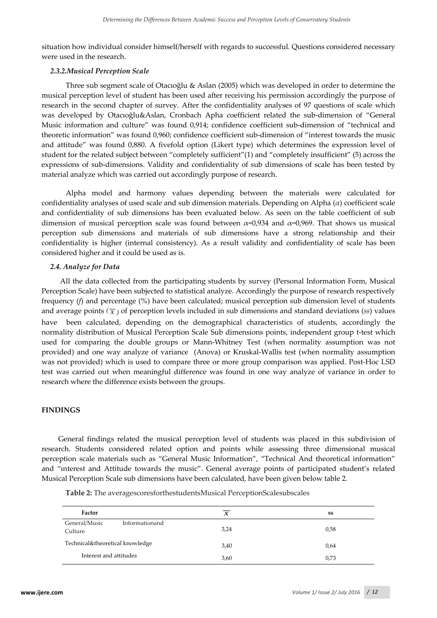situation how individual consider himself/herself with regards to successful. Questions considered necessary were used in the research.

## *2.3.2.Musical Perception Scale*

Three sub segment scale of Otacıoğlu & Aslan (2005) which was developed in order to determine the musical perception level of student has been used after receiving his permission accordingly the purpose of research in the second chapter of survey. After the confidentiality analyses of 97 questions of scale which was developed by Otacıoğlu&Aslan, Cronbach Apha coefficient related the sub-dimension of "General Music information and culture" was found 0,914; confidence coefficient sub-dimension of "technical and theoretic information" was found 0,960; confidence coefficient sub-dimension of "interest towards the music and attitude" was found 0,880. A fivefold option (Likert type) which determines the expression level of student for the related subject between "completely sufficient"(1) and "completely insufficient" (5) across the expressions of sub-dimensions. Validity and confidentiality of sub dimensions of scale has been tested by material analyze which was carried out accordingly purpose of research.

Alpha model and harmony values depending between the materials were calculated for confidentiality analyses of used scale and sub dimension materials. Depending on Alpha (*α*) coefficient scale and confidentiality of sub dimensions has been evaluated below. As seen on the table coefficient of sub dimension of musical perception scale was found between  $\alpha=0.934$  and  $\alpha=0.969$ . That shows us musical perception sub dimensions and materials of sub dimensions have a strong relationship and their confidentiality is higher (internal consistency). As a result validity and confidentiality of scale has been considered higher and it could be used as is.

## *2.4. Analyze for Data*

All the data collected from the participating students by survey (Personal Information Form, Musical Perception Scale) have been subjected to statistical analyze. Accordingly the purpose of research respectively frequency (*f*) and percentage (*%*) have been calculated; musical perception sub dimension level of students and average points  $(\bar{x})$  of perception levels included in sub dimensions and standard deviations (*ss*) values have been calculated, depending on the demographical characteristics of students, accordingly the normality distribution of Musical Perception Scale Sub dimensions points, independent group t-test which used for comparing the double groups or Mann-Whitney Test (when normality assumption was not provided) and one way analyze of variance (Anova) or Kruskal-Wallis test (when normality assumption was not provided) which is used to compare three or more group comparison was applied. Post-Hoc LSD test was carried out when meaningful difference was found in one way analyze of variance in order to research where the difference exists between the groups.

## **FINDINGS**

General findings related the musical perception level of students was placed in this subdivision of research. Students considered related option and points while assessing three dimensional musical perception scale materials such as "General Music Information", "Technical And theoretical information" and "interest and Attitude towards the music". General average points of participated student's related Musical Perception Scale sub dimensions have been calculated, have been given below table 2.

| Table 2: The averagescoresforthestudentsMusical PerceptionScalesubscales |
|--------------------------------------------------------------------------|
|--------------------------------------------------------------------------|

| Factor                                     | $\boldsymbol{X}$ | SS   |
|--------------------------------------------|------------------|------|
| General/Music<br>Informationand<br>Culture | 3,24             | 0,58 |
| Technical&theoretical knowledge            | 3,40             | 0,64 |
| Interest and attitudes                     | 3,60             | 0,73 |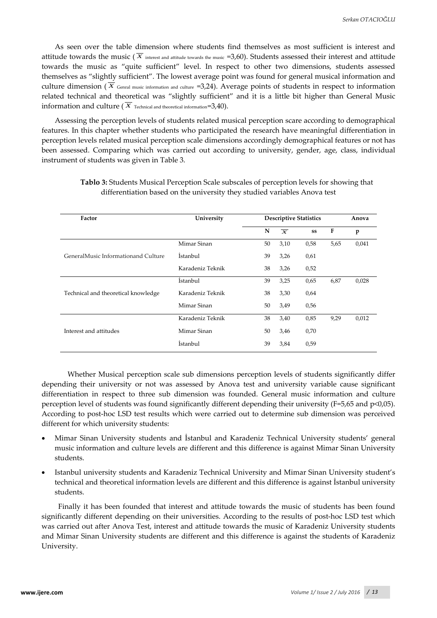As seen over the table dimension where students find themselves as most sufficient is interest and attitude towards the music ( $\overline{X}$  interest and attitude towards the music =3,60). Students assessed their interest and attitude towards the music as "quite sufficient" level. In respect to other two dimensions, students assessed themselves as "slightly sufficient". The lowest average point was found for general musical information and culture dimension ( $\overline{X}$  Genral music information and culture =3,24). Average points of students in respect to information related technical and theoretical was "slightly sufficient" and it is a little bit higher than General Music information and culture ( $\overline{X}$  Technical and theoretical information=3,40).

Assessing the perception levels of students related musical perception scare according to demographical features. In this chapter whether students who participated the research have meaningful differentiation in perception levels related musical perception scale dimensions accordingly demographical features or not has been assessed. Comparing which was carried out according to university, gender, age, class, individual instrument of students was given in Table 3.

| Factor                              | University       |    | <b>Descriptive Statistics</b> |      |      | Anova |  |
|-------------------------------------|------------------|----|-------------------------------|------|------|-------|--|
|                                     |                  | N  | $\overline{\mathbf{x}}$       | SS   | F    | p     |  |
|                                     | Mimar Sinan      | 50 | 3,10                          | 0,58 | 5,65 | 0,041 |  |
| GeneralMusic Informationand Culture | İstanbul         | 39 | 3,26                          | 0,61 |      |       |  |
|                                     | Karadeniz Teknik | 38 | 3,26                          | 0,52 |      |       |  |
|                                     | <i>Istanbul</i>  | 39 | 3,25                          | 0,65 | 6,87 | 0,028 |  |
| Technical and theoretical knowledge | Karadeniz Teknik | 38 | 3,30                          | 0,64 |      |       |  |
|                                     | Mimar Sinan      | 50 | 3,49                          | 0,56 |      |       |  |
|                                     | Karadeniz Teknik | 38 | 3,40                          | 0,85 | 9,29 | 0,012 |  |
| Interest and attitudes              | Mimar Sinan      | 50 | 3,46                          | 0,70 |      |       |  |
|                                     | İstanbul         | 39 | 3,84                          | 0,59 |      |       |  |

# **Tablo 3:** Students Musical Perception Scale subscales of perception levels for showing that differentiation based on the university they studied variables Anova test

Whether Musical perception scale sub dimensions perception levels of students significantly differ depending their university or not was assessed by Anova test and university variable cause significant differentiation in respect to three sub dimension was founded. General music information and culture perception level of students was found significantly different depending their university (F=5,65 and p<0,05). According to post-hoc LSD test results which were carried out to determine sub dimension was perceived different for which university students:

- Mimar Sinan University students and İstanbul and Karadeniz Technical University students' general music information and culture levels are different and this difference is against Mimar Sinan University students.
- Istanbul university students and Karadeniz Technical University and Mimar Sinan University student's technical and theoretical information levels are different and this difference is against İstanbul university students.

Finally it has been founded that interest and attitude towards the music of students has been found significantly different depending on their universities. According to the results of post-hoc LSD test which was carried out after Anova Test, interest and attitude towards the music of Karadeniz University students and Mimar Sinan University students are different and this difference is against the students of Karadeniz University.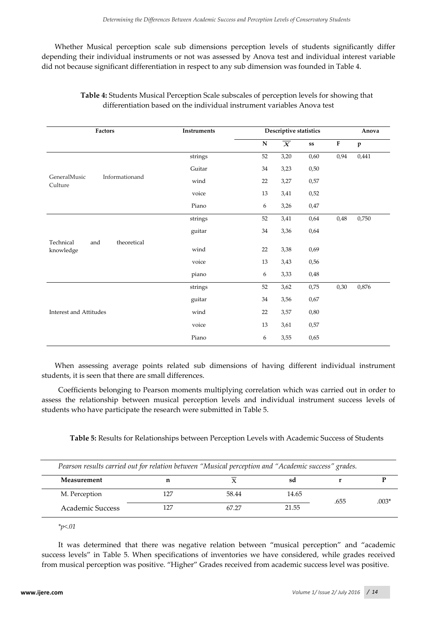Whether Musical perception scale sub dimensions perception levels of students significantly differ depending their individual instruments or not was assessed by Anova test and individual interest variable did not because significant differentiation in respect to any sub dimension was founded in Table 4.

| Factors                                      | <b>Instruments</b>          |           | Descriptive statistics    |                   |      | Anova        |  |  |
|----------------------------------------------|-----------------------------|-----------|---------------------------|-------------------|------|--------------|--|--|
|                                              |                             | ${\bf N}$ | $\overline{\overline{X}}$ | ${\bf s} {\bf s}$ | F    | $\mathbf{p}$ |  |  |
|                                              | strings                     | 52        | 3,20                      | 0,60              | 0,94 | 0,441        |  |  |
|                                              | Guitar                      | 34        | 3,23                      | 0,50              |      |              |  |  |
| GeneralMusic<br>Informationand<br>Culture    | wind                        | 22        | 3,27                      | 0,57              |      |              |  |  |
|                                              | voice                       | 13        | 3,41                      | 0,52              |      |              |  |  |
|                                              | Piano                       | 6         | 3,26                      | 0,47              |      |              |  |  |
|                                              | strings                     | 52        | 3,41                      | 0,64              | 0,48 | 0,750        |  |  |
|                                              | guitar                      | 34        | 3,36                      | 0,64              |      |              |  |  |
| theoretical<br>Technical<br>and<br>knowledge | wind                        | 22        | 3,38                      | 0,69              |      |              |  |  |
|                                              |                             |           |                           |                   |      |              |  |  |
|                                              | voice<br>13<br>3,43<br>0,56 |           |                           |                   |      |              |  |  |
|                                              | piano                       | 6         | 3,33                      | 0,48              |      |              |  |  |
|                                              | strings                     | 52        | 3,62                      | 0,75              | 0,30 | 0,876        |  |  |
|                                              | guitar                      | 34        | 3,56                      | 0,67              |      |              |  |  |
| <b>Interest and Attitudes</b>                | wind                        | 22        | 3,57                      | 0,80              |      |              |  |  |
|                                              | voice                       | 13        | 3,61                      | 0,57              |      |              |  |  |
|                                              | Piano                       | 6         | 3,55                      | 0,65              |      |              |  |  |

**Table 4:** Students Musical Perception Scale subscales of perception levels for showing that differentiation based on the individual instrument variables Anova test

When assessing average points related sub dimensions of having different individual instrument students, it is seen that there are small differences.

Coefficients belonging to Pearson moments multiplying correlation which was carried out in order to assess the relationship between musical perception levels and individual instrument success levels of students who have participate the research were submitted in Table 5.

**Table 5:** Results for Relationships between Perception Levels with Academic Success of Students

| Pearson results carried out for relation between "Musical perception and "Academic success" grades. |       |       |      |         |
|-----------------------------------------------------------------------------------------------------|-------|-------|------|---------|
| Measurement                                                                                         |       | sa    |      |         |
| M. Perception                                                                                       | 58.44 | 14.65 |      | $.003*$ |
| Academic Success                                                                                    | 67.27 | 21.55 | .655 |         |

*\*p<.01* 

It was determined that there was negative relation between "musical perception" and "academic success levels" in Table 5. When specifications of inventories we have considered, while grades received from musical perception was positive. "Higher" Grades received from academic success level was positive.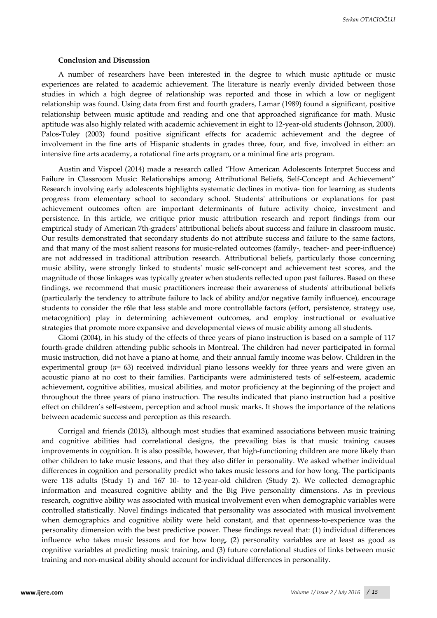#### **Conclusion and Discussion**

A number of researchers have been interested in the degree to which music aptitude or music experiences are related to academic achievement. The literature is nearly evenly divided between those studies in which a high degree of relationship was reported and those in which a low or negligent relationship was found. Using data from first and fourth graders, Lamar (1989) found a significant, positive relationship between music aptitude and reading and one that approached significance for math. Music aptitude was also highly related with academic achievement in eight to 12-year-old students (Johnson, 2000). Palos-Tuley (2003) found positive significant effects for academic achievement and the degree of involvement in the fine arts of Hispanic students in grades three, four, and five, involved in either: an intensive fine arts academy, a rotational fine arts program, or a minimal fine arts program.

Austin and Vispoel (2014) made a research called "How American Adolescents Interpret Success and Failure in Classroom Music: Relationships among Attributional Beliefs, Self-Concept and Achievement" Research involving early adolescents highlights systematic declines in motiva- tion for learning as students progress from elementary school to secondary school. Students' attributions or explanations for past achievement outcomes often are important determinants of future activity choice, investment and persistence. In this article, we critique prior music attribution research and report findings from our empirical study of American 7th-graders' attributional beliefs about success and failure in classroom music. Our results demonstrated that secondary students do not attribute success and failure to the same factors, and that many of the most salient reasons for music-related outcomes (family-, teacher- and peer-influence) are not addressed in traditional attribution research. Attributional beliefs, particularly those concerning music ability, were strongly linked to students' music self-concept and achievement test scores, and the magnitude of those linkages was typically greater when students reflected upon past failures. Based on these findings, we recommend that music practitioners increase their awareness of students' attributional beliefs (particularly the tendency to attribute failure to lack of ability and/or negative family influence), encourage students to consider the r6le that less stable and more controllable factors (effort, persistence, strategy use, metacognition) play in determining achievement outcomes, and employ instructional or evaluative strategies that promote more expansive and developmental views of music ability among all students.

Giomi (2004), in his study of the effects of three years of piano instruction is based on a sample of 117 fourth-grade children attending public schools in Montreal. The children had never participated in formal music instruction, did not have a piano at home, and their annual family income was below. Children in the experimental group (*n*= 63) received individual piano lessons weekly for three years and were given an acoustic piano at no cost to their families. Participants were administered tests of self-esteem, academic achievement, cognitive abilities, musical abilities, and motor proficiency at the beginning of the project and throughout the three years of piano instruction. The results indicated that piano instruction had a positive effect on children's self-esteem, perception and school music marks. It shows the importance of the relations between academic success and perception as this research.

Corrigal and friends (2013), although most studies that examined associations between music training and cognitive abilities had correlational designs, the prevailing bias is that music training causes improvements in cognition. It is also possible, however, that high-functioning children are more likely than other children to take music lessons, and that they also differ in personality. We asked whether individual differences in cognition and personality predict who takes music lessons and for how long. The participants were 118 adults (Study 1) and 167 10- to 12-year-old children (Study 2). We collected demographic information and measured cognitive ability and the Big Five personality dimensions. As in previous research, cognitive ability was associated with musical involvement even when demographic variables were controlled statistically. Novel findings indicated that personality was associated with musical involvement when demographics and cognitive ability were held constant, and that openness-to-experience was the personality dimension with the best predictive power. These findings reveal that: (1) individual differences influence who takes music lessons and for how long, (2) personality variables are at least as good as cognitive variables at predicting music training, and (3) future correlational studies of links between music training and non-musical ability should account for individual differences in personality.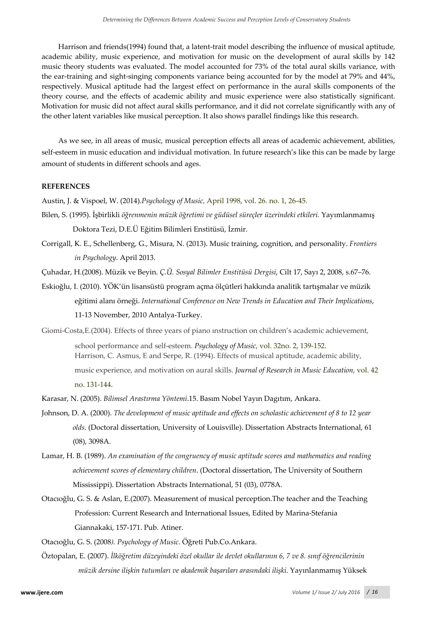Harrison and friends(1994) found that, a latent-trait model describing the influence of musical aptitude, academic ability, music experience, and motivation for music on the development of aural skills by 142 music theory students was evaluated. The model accounted for 73% of the total aural skills variance, with the ear-training and sight-singing components variance being accounted for by the model at 79% and 44%, respectively. Musical aptitude had the largest effect on performance in the aural skills components of the theory course, and the effects of academic ability and music experience were also statistically significant. Motivation for music did not affect aural skills performance, and it did not correlate significantly with any of the other latent variables like musical perception. It also shows parallel findings like this research.

As we see, in all areas of music, musical perception effects all areas of academic achievement, abilities, self-esteem in music education and individual motivation. In future research's like this can be made by large amount of students in different schools and ages.

## **REFERENCES**

Austin, J. & Vispoel, W. (2014).*Psychology of Music*, April 1998, vol. 26. no. 1, 26-45.

- Bilen, S. (1995). İşbirlikli *öğrenmenin müzik öğretimi ve güdüsel süreçler üzerindeki etkileri.* Yayımlanmamış Doktora Tezi, D.E.Ü Eğitim Bilimleri Enstitüsü, İzmir.
- Corrigall, K. E., Schellenberg, G., Misura, N. (2013). Music training, cognition, and personality. *Frontiers in Psychology*. April 2013.
- Çuhadar, H.(2008). Müzik ve Beyin. *Ç.Ü. Sosyal Bilimler Enstitüsü Dergisi*, Cilt 17, Sayı 2, 2008, s.67–76.
- Eskioğlu, I. (2010). YÖK'ün lisansüstü program açma ölçütleri hakkında analitik tartışmalar ve müzik eğitimi alanı örneği. *International Conference on New Trends in Education and Their Implications*, 11-13 November, 2010 Antalya-Turkey.
- Giomi-Costa,E.(2004). Effects of three years of piano ınstruction on children's academic achievement, school performance and self-esteem. *Psychology of Music*, vol. 32no. 2, 139-152. Harrison, C. Asmus, E and Serpe, R. (1994). Effects of musical aptitude, academic ability, music experience, and motivation on aural skills. *Journal of Research in Music Education*, vol. 42 no. 131-144.
- Karasar, N. (2005). *Bilimsel Arastırma Yöntemi*.15. Basım Nobel Yayın Dagıtım, Ankara.
- Johnson, D. A. (2000). *The development of music aptitude and effects on scholastic achievement of 8 to 12 year olds.* (Doctoral dissertation, University of Louisville). Dissertation Abstracts International, 61 (08), 3098A.
- Lamar, H. B. (1989). *An examination of the congruency of music aptitude scores and mathematics and reading achievement scores of elementary children*. (Doctoral dissertation, The University of Southern Mississippi). Dissertation Abstracts International, 51 (03), 0778A.
- Otacıoğlu, G. S. & Aslan, E.(2007). Measurement of musical perception.The teacher and the Teaching Profession: Current Research and International Issues, Edited by Marina-Stefania Giannakaki, 157-171. Pub. Atiner.

Otacıoğlu, G. S. (2008*). Psychology of Music*. Öğreti Pub.Co.Ankara.

Öztopalan, E. (2007). *İlköğretim düzeyindeki özel okullar ile devlet okullarının 6, 7 ve 8. sınıf öğrencilerinin müzik dersine ilişkin tutumları ve akademik başarıları arasındaki ilişki*. Yayınlanmamış Yüksek